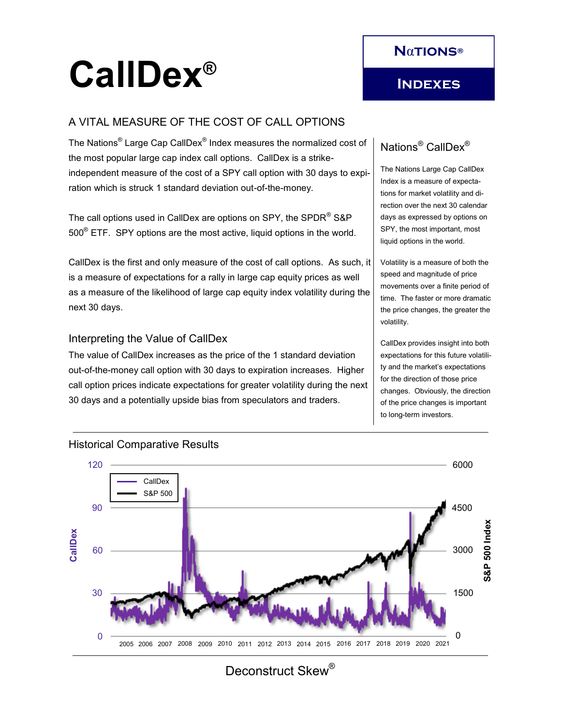# **CallDex®**

# **Indexes**

## A VITAL MEASURE OF THE COST OF CALL OPTIONS

The Nations $^\circ$  Large Cap CallDex $^\circ$  Index measures the normalized cost of the most popular large cap index call options. CallDex is a strikeindependent measure of the cost of a SPY call option with 30 days to expiration which is struck 1 standard deviation out-of-the-money.

The call options used in CallDex are options on SPY, the SPDR<sup>®</sup> S&P 500® ETF. SPY options are the most active, liquid options in the world.

CallDex is the first and only measure of the cost of call options. As such, it is a measure of expectations for a rally in large cap equity prices as well as a measure of the likelihood of large cap equity index volatility during the next 30 days.

#### Interpreting the Value of CallDex

The value of CallDex increases as the price of the 1 standard deviation out-of-the-money call option with 30 days to expiration increases. Higher call option prices indicate expectations for greater volatility during the next 30 days and a potentially upside bias from speculators and traders.

# Nations® CallDex®

The Nations Large Cap CallDex Index is a measure of expectations for market volatility and direction over the next 30 calendar days as expressed by options on SPY, the most important, most liquid options in the world.

Volatility is a measure of both the speed and magnitude of price movements over a finite period of time. The faster or more dramatic the price changes, the greater the volatility.

CallDex provides insight into both expectations for this future volatility and the market's expectations for the direction of those price changes. Obviously, the direction of the price changes is important to long-term investors.



#### Historical Comparative Results

Deconstruct Skew<sup>®</sup>